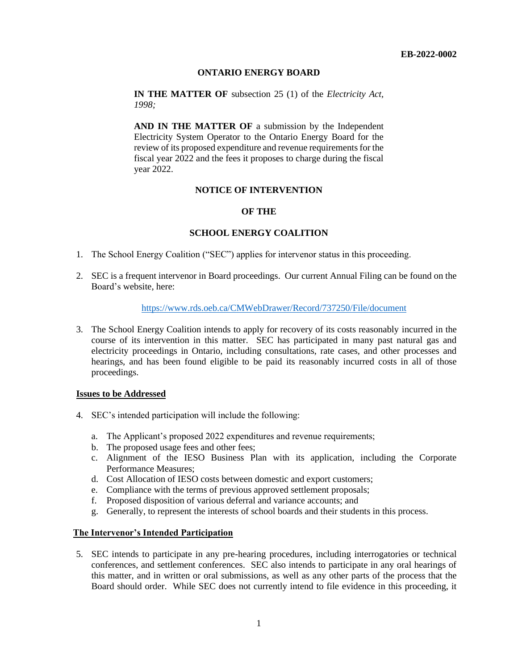## **ONTARIO ENERGY BOARD**

**IN THE MATTER OF** subsection 25 (1) of the *Electricity Act, 1998;*

**AND IN THE MATTER OF** a submission by the Independent Electricity System Operator to the Ontario Energy Board for the review of its proposed expenditure and revenue requirements for the fiscal year 2022 and the fees it proposes to charge during the fiscal year 2022.

## **NOTICE OF INTERVENTION**

## **OF THE**

## **SCHOOL ENERGY COALITION**

- 1. The School Energy Coalition ("SEC") applies for intervenor status in this proceeding.
- 2. SEC is a frequent intervenor in Board proceedings. Our current Annual Filing can be found on the Board's website, here:

# <https://www.rds.oeb.ca/CMWebDrawer/Record/737250/File/document>

3. The School Energy Coalition intends to apply for recovery of its costs reasonably incurred in the course of its intervention in this matter. SEC has participated in many past natural gas and electricity proceedings in Ontario, including consultations, rate cases, and other processes and hearings, and has been found eligible to be paid its reasonably incurred costs in all of those proceedings.

#### **Issues to be Addressed**

- 4. SEC's intended participation will include the following:
	- a. The Applicant's proposed 2022 expenditures and revenue requirements;
	- b. The proposed usage fees and other fees;
	- c. Alignment of the IESO Business Plan with its application, including the Corporate Performance Measures;
	- d. Cost Allocation of IESO costs between domestic and export customers;
	- e. Compliance with the terms of previous approved settlement proposals;
	- f. Proposed disposition of various deferral and variance accounts; and
	- g. Generally, to represent the interests of school boards and their students in this process.

#### **The Intervenor's Intended Participation**

5. SEC intends to participate in any pre-hearing procedures, including interrogatories or technical conferences, and settlement conferences. SEC also intends to participate in any oral hearings of this matter, and in written or oral submissions, as well as any other parts of the process that the Board should order. While SEC does not currently intend to file evidence in this proceeding, it